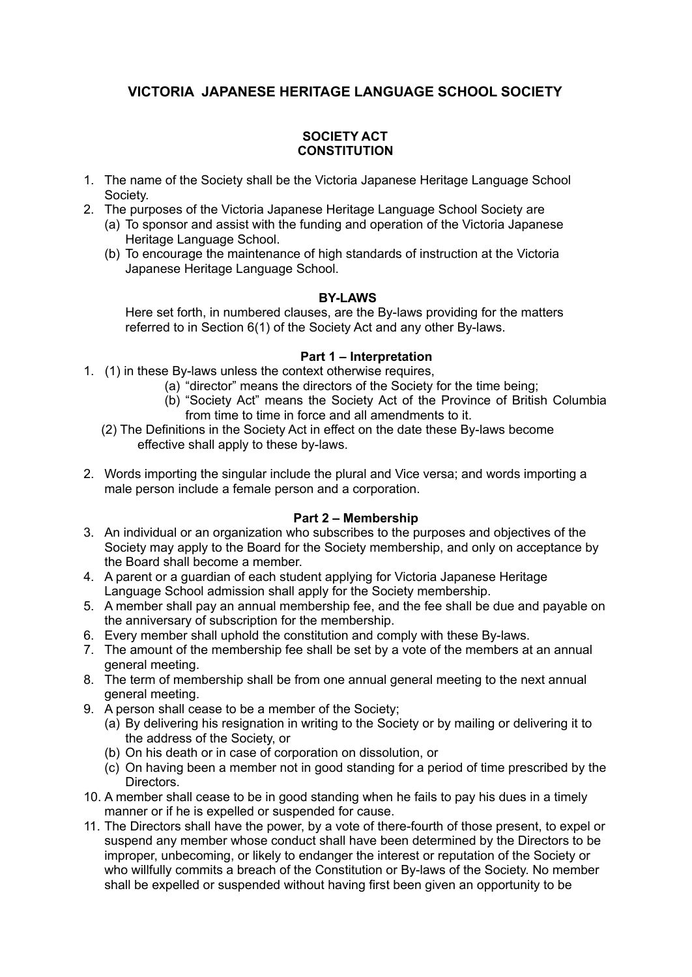# **VICTORIA JAPANESE HERITAGE LANGUAGE SCHOOL SOCIETY**

# **SOCIETY ACT CONSTITUTION**

- 1. The name of the Society shall be the Victoria Japanese Heritage Language School Society.
- 2. The purposes of the Victoria Japanese Heritage Language School Society are
	- (a) To sponsor and assist with the funding and operation of the Victoria Japanese Heritage Language School.
	- (b) To encourage the maintenance of high standards of instruction at the Victoria Japanese Heritage Language School.

## **BY-LAWS**

Here set forth, in numbered clauses, are the By-laws providing for the matters referred to in Section 6(1) of the Society Act and any other By-laws.

## **Part 1 – Interpretation**

- 1. (1) in these By-laws unless the context otherwise requires,
	- (a) "director" means the directors of the Society for the time being;
	- (b) "Society Act" means the Society Act of the Province of British Columbia from time to time in force and all amendments to it.
	- (2) The Definitions in the Society Act in effect on the date these By-laws become effective shall apply to these by-laws.
- 2. Words importing the singular include the plural and Vice versa; and words importing a male person include a female person and a corporation.

## **Part 2 – Membership**

- 3. An individual or an organization who subscribes to the purposes and objectives of the Society may apply to the Board for the Society membership, and only on acceptance by the Board shall become a member.
- 4. A parent or a guardian of each student applying for Victoria Japanese Heritage Language School admission shall apply for the Society membership.
- 5. A member shall pay an annual membership fee, and the fee shall be due and payable on the anniversary of subscription for the membership.
- 6. Every member shall uphold the constitution and comply with these By-laws.
- 7. The amount of the membership fee shall be set by a vote of the members at an annual general meeting.
- 8. The term of membership shall be from one annual general meeting to the next annual general meeting.
- 9. A person shall cease to be a member of the Society;
	- (a) By delivering his resignation in writing to the Society or by mailing or delivering it to the address of the Society, or
	- (b) On his death or in case of corporation on dissolution, or
	- (c) On having been a member not in good standing for a period of time prescribed by the Directors.
- 10. A member shall cease to be in good standing when he fails to pay his dues in a timely manner or if he is expelled or suspended for cause.
- 11. The Directors shall have the power, by a vote of there-fourth of those present, to expel or suspend any member whose conduct shall have been determined by the Directors to be improper, unbecoming, or likely to endanger the interest or reputation of the Society or who willfully commits a breach of the Constitution or By-laws of the Society. No member shall be expelled or suspended without having first been given an opportunity to be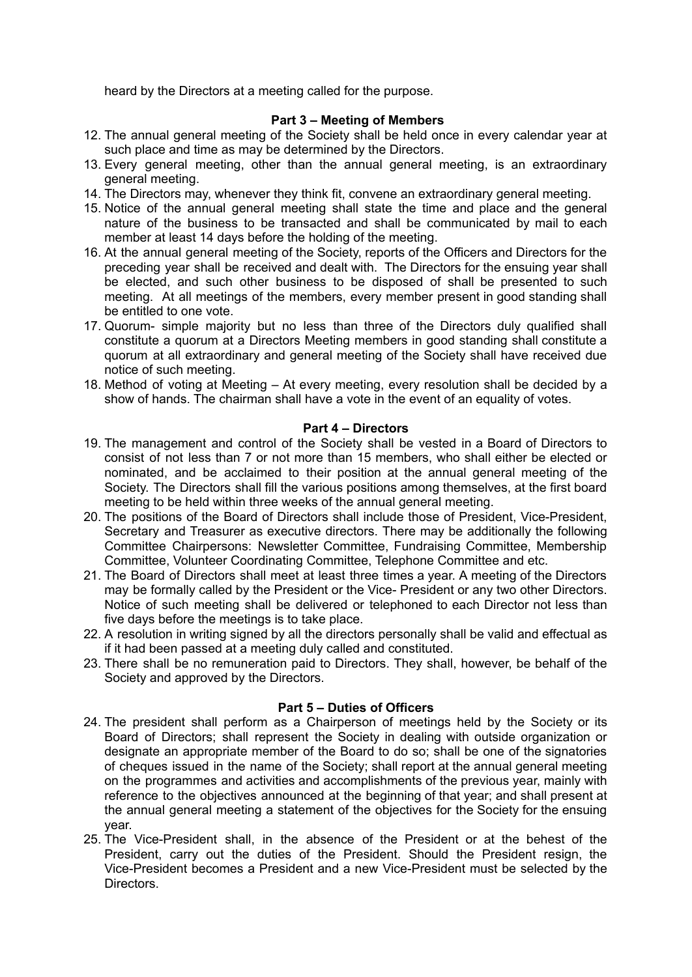heard by the Directors at a meeting called for the purpose.

# **Part 3 – Meeting of Members**

- 12. The annual general meeting of the Society shall be held once in every calendar year at such place and time as may be determined by the Directors.
- 13. Every general meeting, other than the annual general meeting, is an extraordinary general meeting.
- 14. The Directors may, whenever they think fit, convene an extraordinary general meeting.
- 15. Notice of the annual general meeting shall state the time and place and the general nature of the business to be transacted and shall be communicated by mail to each member at least 14 days before the holding of the meeting.
- 16. At the annual general meeting of the Society, reports of the Officers and Directors for the preceding year shall be received and dealt with. The Directors for the ensuing year shall be elected, and such other business to be disposed of shall be presented to such meeting. At all meetings of the members, every member present in good standing shall be entitled to one vote.
- 17. Quorum- simple majority but no less than three of the Directors duly qualified shall constitute a quorum at a Directors Meeting members in good standing shall constitute a quorum at all extraordinary and general meeting of the Society shall have received due notice of such meeting.
- 18. Method of voting at Meeting At every meeting, every resolution shall be decided by a show of hands. The chairman shall have a vote in the event of an equality of votes.

### **Part 4 – Directors**

- 19. The management and control of the Society shall be vested in a Board of Directors to consist of not less than 7 or not more than 15 members, who shall either be elected or nominated, and be acclaimed to their position at the annual general meeting of the Society. The Directors shall fill the various positions among themselves, at the first board meeting to be held within three weeks of the annual general meeting.
- 20. The positions of the Board of Directors shall include those of President, Vice-President, Secretary and Treasurer as executive directors. There may be additionally the following Committee Chairpersons: Newsletter Committee, Fundraising Committee, Membership Committee, Volunteer Coordinating Committee, Telephone Committee and etc.
- 21. The Board of Directors shall meet at least three times a year. A meeting of the Directors may be formally called by the President or the Vice- President or any two other Directors. Notice of such meeting shall be delivered or telephoned to each Director not less than five days before the meetings is to take place.
- 22. A resolution in writing signed by all the directors personally shall be valid and effectual as if it had been passed at a meeting duly called and constituted.
- 23. There shall be no remuneration paid to Directors. They shall, however, be behalf of the Society and approved by the Directors.

## **Part 5 – Duties of Officers**

- 24. The president shall perform as a Chairperson of meetings held by the Society or its Board of Directors; shall represent the Society in dealing with outside organization or designate an appropriate member of the Board to do so; shall be one of the signatories of cheques issued in the name of the Society; shall report at the annual general meeting on the programmes and activities and accomplishments of the previous year, mainly with reference to the objectives announced at the beginning of that year; and shall present at the annual general meeting a statement of the objectives for the Society for the ensuing year.
- 25. The Vice-President shall, in the absence of the President or at the behest of the President, carry out the duties of the President. Should the President resign, the Vice-President becomes a President and a new Vice-President must be selected by the **Directors**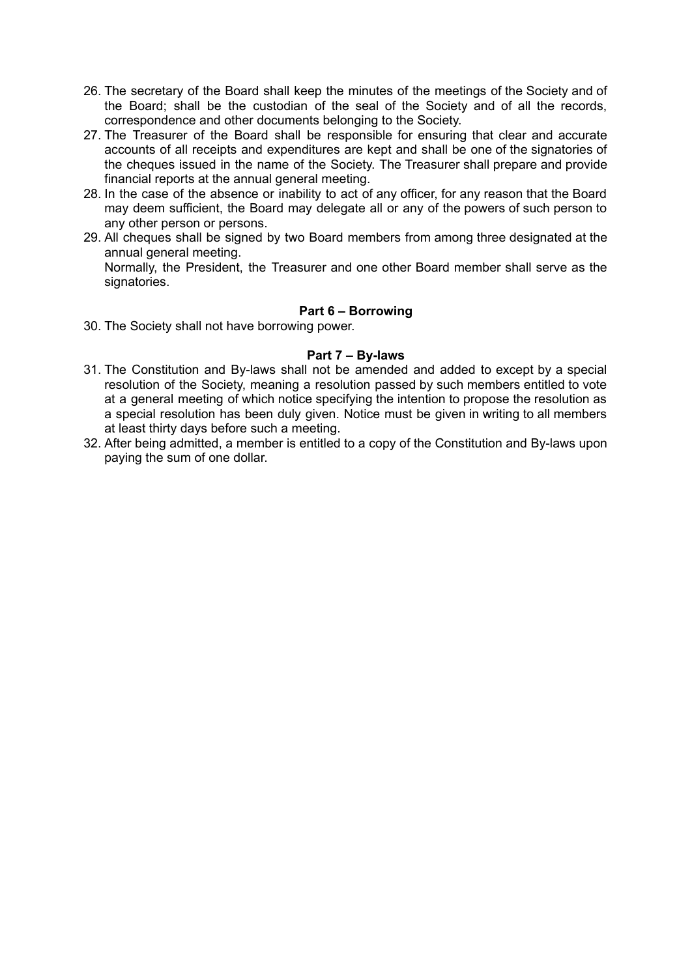- 26. The secretary of the Board shall keep the minutes of the meetings of the Society and of the Board; shall be the custodian of the seal of the Society and of all the records, correspondence and other documents belonging to the Society.
- 27. The Treasurer of the Board shall be responsible for ensuring that clear and accurate accounts of all receipts and expenditures are kept and shall be one of the signatories of the cheques issued in the name of the Society. The Treasurer shall prepare and provide financial reports at the annual general meeting.
- 28. In the case of the absence or inability to act of any officer, for any reason that the Board may deem sufficient, the Board may delegate all or any of the powers of such person to any other person or persons.
- 29. All cheques shall be signed by two Board members from among three designated at the annual general meeting. Normally, the President, the Treasurer and one other Board member shall serve as the signatories.

# **Part 6 – Borrowing**

30. The Society shall not have borrowing power.

# **Part 7 – By-laws**

- 31. The Constitution and By-laws shall not be amended and added to except by a special resolution of the Society, meaning a resolution passed by such members entitled to vote at a general meeting of which notice specifying the intention to propose the resolution as a special resolution has been duly given. Notice must be given in writing to all members at least thirty days before such a meeting.
- 32. After being admitted, a member is entitled to a copy of the Constitution and By-laws upon paying the sum of one dollar.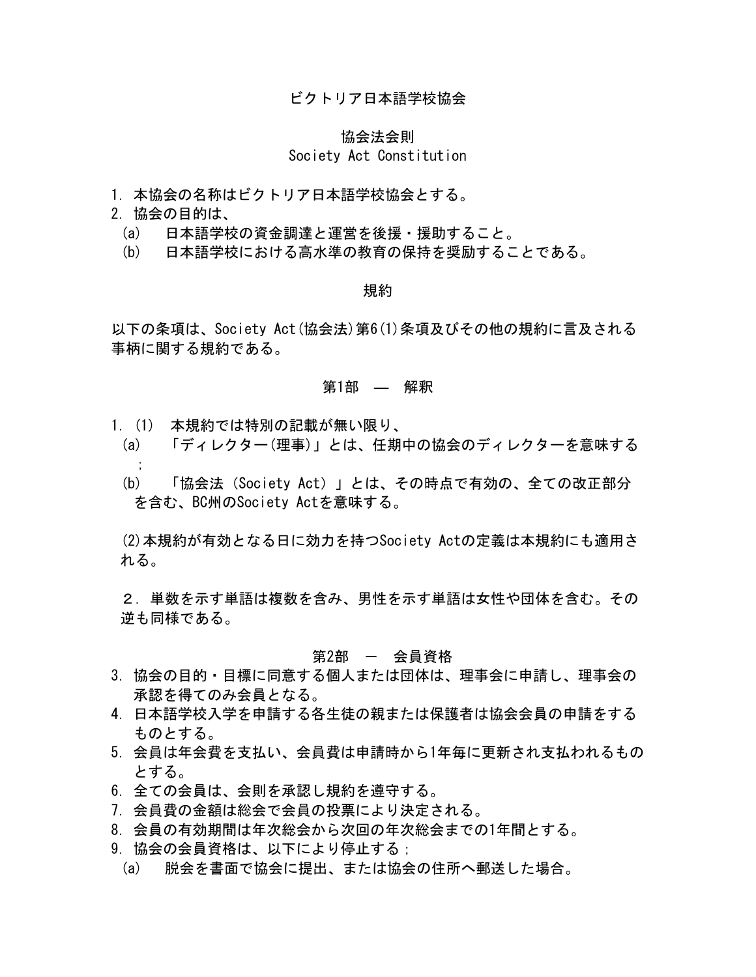### ビクトリア日本語学校協会

#### 協会法会則

### Society Act Constitution

- 1.本協会の名称はビクトリア日本語学校協会とする。
- 2. 協会の目的は、
	- (a) 日本語学校の資金調達と運営を後援・援助すること。
	- (b) 日本語学校における高水準の教育の保持を奨励することである。

#### 規約

以下の条項は、Society Act(協会法)第6(1)条項及びその他の規約に言及される 事柄に関する規約である。

### 第1部 ― 解釈

- 1.(1) 本規約では特別の記載が無い限り、
	- (a) 「ディレクター(理事)」とは、任期中の協会のディレクターを意味する ;
	- (b) 「協会法(Society Act)」とは、その時点で有効の、全ての改正部分 を含む、BC州のSociety Actを意味する。

(2)本規約が有効となる日に効力を持つSociety Actの定義は本規約にも適用さ れる。

2.単数を示す単語は複数を含み、男性を示す単語は女性や団体を含む。その 逆も同様である。

#### 第2部 - 会員資格

- 3.協会の目的・目標に同意する個人または団体は、理事会に申請し、理事会の 承認を得てのみ会員となる。
- 4.日本語学校入学を申請する各生徒の親または保護者は協会会員の申請をする ものとする。
- 5.会員は年会費を支払い、会員費は申請時から1年毎に更新され支払われるもの とする。
- 6.全ての会員は、会則を承認し規約を遵守する。
- 7.会員費の金額は総会で会員の投票により決定される。
- 8.会員の有効期間は年次総会から次回の年次総会までの1年間とする。
- 9. 協会の会員資格は、以下により停止する;
- (a) 脱会を書面で協会に提出、または協会の住所へ郵送した場合。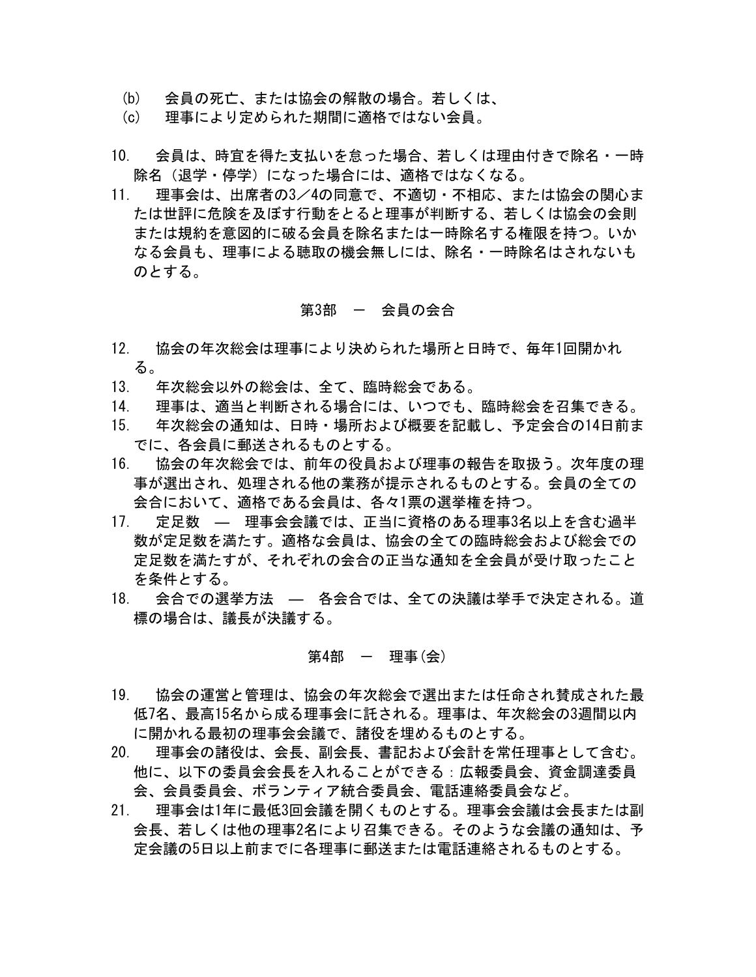- (b) 会員の死亡、または協会の解散の場合。若しくは、
- (c) 理事により定められた期間に適格ではない会員。
- 10. 会員は、時宜を得た支払いを怠った場合、若しくは理由付きで除名・一時 除名(退学・停学)になった場合には、適格ではなくなる。
- 11. 理事会は、出席者の3/4の同意で、不適切・不相応、または協会の関心ま たは世評に危険を及ぼす行動をとると理事が判断する、若しくは協会の会則 または規約を意図的に破る会員を除名または一時除名する権限を持つ。いか なる会員も、理事による聴取の機会無しには、除名・一時除名はされないも のとする。

### 第3部 ― 会員の会合

- 12. 協会の年次総会は理事により決められた場所と日時で、毎年1回開かれ る。
- 13. 年次総会以外の総会は、全て、臨時総会である。
- 14. 理事は、適当と判断される場合には、いつでも、臨時総会を召集できる。
- 15. 年次総会の通知は、日時・場所および概要を記載し、予定会合の14日前ま でに、各会員に郵送されるものとする。
- 16. 協会の年次総会では、前年の役員および理事の報告を取扱う。次年度の理 事が選出され、処理される他の業務が提示されるものとする。会員の全ての 会合において、適格である会員は、各々1票の選挙権を持つ。
- 17. 定足数 ― 理事会会議では、正当に資格のある理事3名以上を含む過半 数が定足数を満たす。適格な会員は、協会の全ての臨時総会および総会での 定足数を満たすが、それぞれの会合の正当な通知を全会員が受け取ったこと を条件とする。
- 18. 会合での選挙方法 ― 各会合では、全ての決議は挙手で決定される。道 標の場合は、議長が決議する。

#### 第4部  $-$  理事 $(\n\Leftrightarrow)$

- 19. 協会の運営と管理は、協会の年次総会で選出または任命され賛成された最 低7名、最高15名から成る理事会に託される。理事は、年次総会の3週間以内 に開かれる最初の理事会会議で、諸役を埋めるものとする。
- 20. 理事会の諸役は、会長、副会長、書記および会計を常任理事として含む。 他に、以下の委員会会長を入れることができる:広報委員会、資金調達委員 会、会員委員会、ボランティア統合委員会、電話連絡委員会など。
- 21. 理事会は1年に最低3回会議を開くものとする。理事会会議は会長または副 会長、若しくは他の理事2名により召集できる。そのような会議の通知は、予 定会議の5日以上前までに各理事に郵送または電話連絡されるものとする。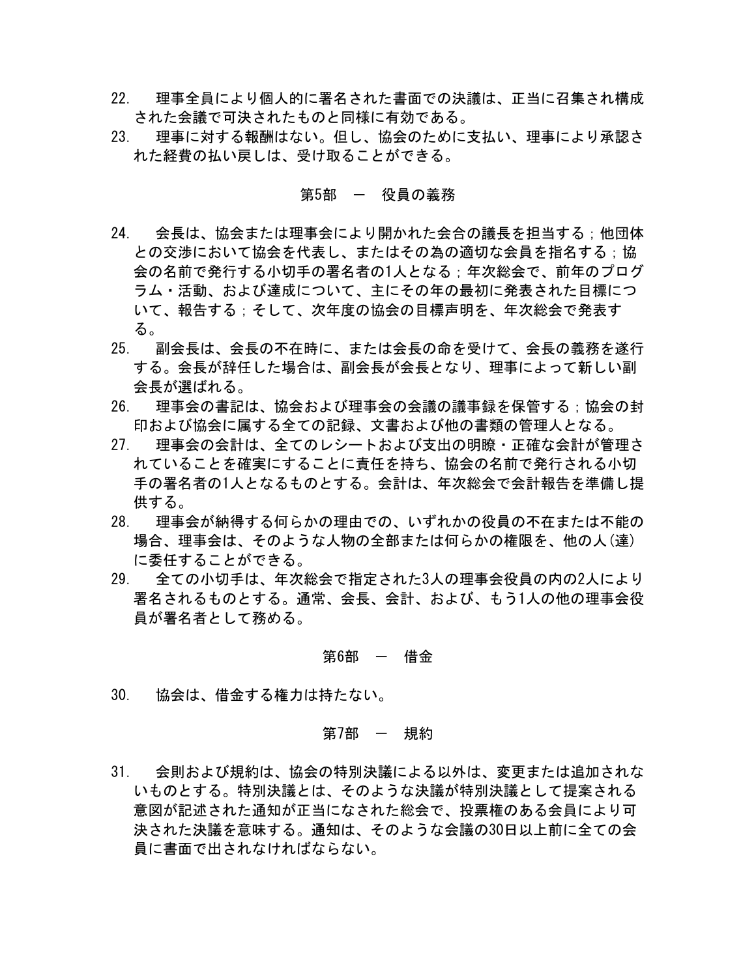- 22. 理事全員により個人的に署名された書面での決議は、正当に召集され構成 された会議で可決されたものと同様に有効である。
- 23. 理事に対する報酬はない。但し、協会のために支払い、理事により承認さ れた経費の払い戻しは、受け取ることができる。

### 第5部 ー 役員の義務

- 24. 会長は、協会または理事会により開かれた会合の議長を担当する;他団体 との交渉において協会を代表し、またはその為の適切な会員を指名する;協 会の名前で発行する小切手の署名者の1人となる;年次総会で、前年のプログ ラム・活動、および達成について、主にその年の最初に発表された目標につ いて、報告する;そして、次年度の協会の目標声明を、年次総会で発表す る。
- 25. 副会長は、会長の不在時に、または会長の命を受けて、会長の義務を遂行 する。会長が辞任した場合は、副会長が会長となり、理事によって新しい副 会長が選ばれる。
- 26. 理事会の書記は、協会および理事会の会議の議事録を保管する;協会の封 印および協会に属する全ての記録、文書および他の書類の管理人となる。
- 27. 理事会の会計は、全てのレシートおよび支出の明瞭・正確な会計が管理さ れていることを確実にすることに責任を持ち、協会の名前で発行される小切 手の署名者の1人となるものとする。会計は、年次総会で会計報告を準備し提 供する。
- 28. 理事会が納得する何らかの理由での、いずれかの役員の不在または不能の 場合、理事会は、そのような人物の全部または何らかの権限を、他の人(達) に委任することができる。
- 29. 全ての小切手は、年次総会で指定された3人の理事会役員の内の2人により 署名されるものとする。通常、会長、会計、および、もう1人の他の理事会役 員が署名者として務める。

#### 第6部 - 借金

30. 協会は、借金する権力は持たない。

### 第7部 - 規約

31. 会則および規約は、協会の特別決議による以外は、変更または追加されな いものとする。特別決議とは、そのような決議が特別決議として提案される 意図が記述された通知が正当になされた総会で、投票権のある会員により可 決された決議を意味する。通知は、そのような会議の30日以上前に全ての会 員に書面で出されなければならない。